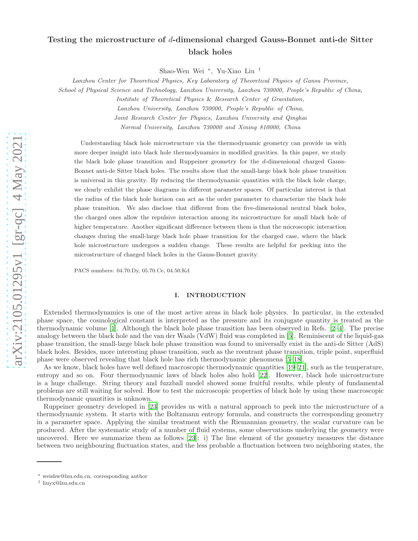# Testing the microstructure of d-dimensional charged Gauss-Bonnet anti-de Sitter black holes

Shao-Wen Wei <sup>∗</sup> , Yu-Xiao Liu †

Lanzhou Center for Theoretical Physics, Key Laboratory of Theoretical Physics of Gansu Province,

School of Physical Science and Technology, Lanzhou University, Lanzhou 730000, People's Republic of China,

Institute of Theoretical Physics & Research Center of Gravitation,

Lanzhou University, Lanzhou 730000, People's Republic of China,

Joint Research Center for Physics, Lanzhou University and Qinghai

Normal University, Lanzhou 730000 and Xining 810000, China

Understanding black hole microstructure via the thermodynamic geometry can provide us with more deeper insight into black hole thermodynamics in modified gravities. In this paper, we study the black hole phase transition and Ruppeiner geometry for the d-dimensional charged Gauss-Bonnet anti-de Sitter black holes. The results show that the small-large black hole phase transition is universal in this gravity. By reducing the thermodynamic quantities with the black hole charge, we clearly exhibit the phase diagrams in different parameter spaces. Of particular interest is that the radius of the black hole horizon can act as the order parameter to characterize the black hole phase transition. We also disclose that different from the five-dimensional neutral black holes, the charged ones allow the repulsive interaction among its microstructure for small black hole of higher temperature. Another significant difference between them is that the microscopic interaction changes during the small-large black hole phase transition for the charged case, where the black hole microstructure undergoes a sudden change. These results are helpful for peeking into the microstructure of charged black holes in the Gauss-Bonnet gravity.

PACS numbers: 04.70.Dy, 05.70.Ce, 04.50.Kd

## I. INTRODUCTION

Extended thermodynamics is one of the most active areas in black hole physics. In particular, in the extended phase space, the cosmological constant is interpreted as the pressure and its conjugate quantity is treated as the thermodynamic volume [\[1\]](#page-15-0). Although the black hole phase transition has been observed in Refs. [\[2](#page-15-1)[–4](#page-15-2)]. The precise analogy between the black hole and the van der Waals (VdW) fluid was completed in [\[5\]](#page-15-3). Reminiscent of the liquid-gas phase transition, the small-large black hole phase transition was found to universally exist in the anti-de Sitter (AdS) black holes. Besides, more interesting phase transition, such as the reentrant phase transition, triple point, superfluid phase were observed revealing that black hole has rich thermodynamic phenomena [\[5](#page-15-3)[–18\]](#page-15-4).

As we know, black holes have well defined macroscopic thermodynamic quantities [\[19](#page-15-5)[–21\]](#page-15-6), such as the temperature, entropy and so on. Four thermodynamic laws of black holes also hold [\[22\]](#page-15-7). However, black hole microstructure is a huge challenge. String theory and fuzzball model showed some fruitful results, while plenty of fundamental problems are still waiting for solved. How to test the microscopic properties of black hole by using these macroscopic thermodynamic quantities is unknown.

Ruppeiner geometry developed in [\[23\]](#page-15-8) provides us with a natural approach to peek into the microstructure of a thermodynamic system. It starts with the Boltzmann entropy formula, and constructs the corresponding geometry in a parameter space. Applying the similar treatment with the Riemannian geometry, the scalar curvature can be produced. After the systematic study of a number of fluid systems, some observations underlying the geometry were uncovered. Here we summarize them as follows [\[23](#page-15-8)]: i) The line element of the geometry measures the distance between two neighbouring fluctuation states, and the less probable a fluctuation between two neighboring states, the

<sup>∗</sup> weishw@lzu.edu.cn, corresponding author

<sup>†</sup> liuyx@lzu.edu.cn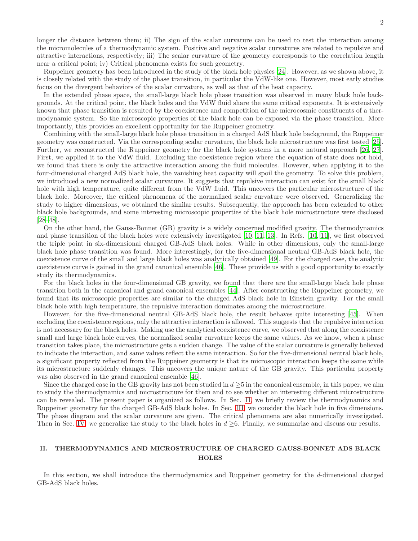longer the distance between them; ii) The sign of the scalar curvature can be used to test the interaction among the micromolecules of a thermodynamic system. Positive and negative scalar curvatures are related to repulsive and attractive interactions, respectively; iii) The scalar curvature of the geometry corresponds to the correlation length near a critical point; iv) Critical phenomena exists for such geometry.

Ruppeiner geometry has been introduced in the study of the black hole physics [\[24\]](#page-15-9). However, as we shown above, it is closely related with the study of the phase transition, in particular the VdW-like one. However, most early studies focus on the divergent behaviors of the scalar curvature, as well as that of the heat capacity.

In the extended phase space, the small-large black hole phase transition was observed in many black hole backgrounds. At the critical point, the black holes and the VdW fluid share the same critical exponents. It is extensively known that phase transition is resulted by the coexistence and competition of the microcosmic constituents of a thermodynamic system. So the microscopic properties of the black hole can be exposed via the phase transition. More importantly, this provides an excellent opportunity for the Ruppeiner geometry.

Combining with the small-large black hole phase transition in a charged AdS black hole background, the Ruppeiner geometry was constructed. Via the corresponding scalar curvature, the black hole microstructure was first tested [\[25\]](#page-15-10). Further, we reconstructed the Ruppeiner geometry for the black hole systems in a more natural approach [\[26,](#page-16-0) [27\]](#page-16-1). First, we applied it to the VdW fluid. Excluding the coexistence region where the equation of state does not hold, we found that there is only the attractive interaction among the fluid molecules. However, when applying it to the four-dimensional charged AdS black hole, the vanishing heat capacity will spoil the geometry. To solve this problem, we introduced a new normalized scalar curvature. It suggests that repulsive interaction can exist for the small black hole with high temperature, quite different from the VdW fluid. This uncovers the particular microstructure of the black hole. Moreover, the critical phenomena of the normalized scalar curvature were observed. Generalizing the study to higher dimensions, we obtained the similar results. Subsequently, the approach has been extended to other black hole backgrounds, and some interesting microscopic properties of the black hole microstructure were disclosed [\[28](#page-16-2)[–48\]](#page-16-3).

On the other hand, the Gauss-Bonnet (GB) gravity is a widely concerned modified gravity. The thermodynamics and phase transition of the black holes were extensively investigated [\[10](#page-15-11), [11,](#page-15-12) [13\]](#page-15-13). In Refs. [\[10,](#page-15-11) [11\]](#page-15-12), we first observed the triple point in six-dimensional charged GB-AdS black holes. While in other dimensions, only the small-large black hole phase transition was found. More interestingly, for the five-dimensional neutral GB-AdS black hole, the coexistence curve of the small and large black holes was analytically obtained [\[49\]](#page-16-4). For the charged case, the analytic coexistence curve is gained in the grand canonical ensemble [\[46\]](#page-16-5). These provide us with a good opportunity to exactly study its thermodynamics.

For the black holes in the four-dimensional GB gravity, we found that there are the small-large black hole phase transition both in the canonical and grand canonical ensembles [\[44](#page-16-6)]. After constructing the Ruppeiner geometry, we found that its microscopic properties are similar to the charged AdS black hole in Einstein gravity. For the small black hole with high temperature, the repulsive interaction dominates among the microstructure.

However, for the five-dimensional neutral GB-AdS black hole, the result behaves quite interesting [\[45\]](#page-16-7). When excluding the coexistence regions, only the attractive interaction is allowed. This suggests that the repulsive interaction is not necessary for the black holes. Making use the analytical coexistence curve, we observed that along the coexistence small and large black hole curves, the normalized scalar curvature keeps the same values. As we know, when a phase transition takes place, the microstructure gets a sudden change. The value of the scalar curvature is generally believed to indicate the interaction, and same values reflect the same interaction. So for the five-dimensional neutral black hole, a significant property reflected from the Ruppeiner geometry is that its microscopic interaction keeps the same while its microstructure suddenly changes. This uncovers the unique nature of the GB gravity. This particular property was also observed in the grand canonical ensemble [\[46](#page-16-5)].

Since the charged case in the GB gravity has not been studied in  $d \geq 5$  in the canonical ensemble, in this paper, we aim to study the thermodynamics and microstructure for them and to see whether an interesting different microstructure can be revealed. The present paper is organized as follows. In Sec. [II,](#page-1-0) we briefly review the thermodynamics and Ruppeiner geometry for the charged GB-AdS black holes. In Sec. [III,](#page-4-0) we consider the black hole in five dimensions. The phase diagram and the scalar curvature are given. The critical phenomena are also numerically investigated. Then in Sec. [IV,](#page-11-0) we generalize the study to the black holes in  $d \geq 6$ . Finally, we summarize and discuss our results.

## <span id="page-1-0"></span>II. THERMODYNAMICS AND MICROSTRUCTURE OF CHARGED GAUSS-BONNET ADS BLACK **HOLES**

In this section, we shall introduce the thermodynamics and Ruppeiner geometry for the d-dimensional charged GB-AdS black holes.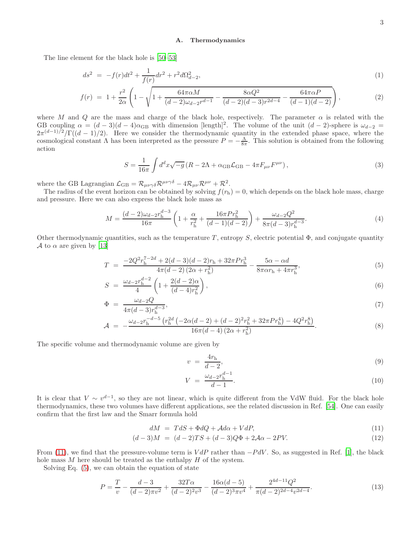#### A. Thermodynamics

The line element for the black hole is [\[50](#page-17-0)[–53](#page-17-1)]

$$
ds^{2} = -f(r)dt^{2} + \frac{1}{f(r)}dr^{2} + r^{2}d\Omega_{d-2}^{2},
$$
\n(1)

$$
f(r) = 1 + \frac{r^2}{2\alpha} \left( 1 - \sqrt{1 + \frac{64\pi\alpha M}{(d-2)\omega_{d-2}r^{d-1}} - \frac{8\alpha Q^2}{(d-2)(d-3)r^{2d-4}} - \frac{64\pi\alpha P}{(d-1)(d-2)}} \right),
$$
(2)

where M and Q are the mass and charge of the black hole, respectively. The parameter  $\alpha$  is related with the GB coupling  $\alpha = (d-3)(d-4)\alpha_{GB}$  with dimension [length]<sup>2</sup>. The volume of the unit  $(d-2)$ -sphere is  $\omega_{d-2} =$  $2\pi^{(d-1)/2}/\Gamma((d-1)/2)$ . Here we consider the thermodynamic quantity in the extended phase space, where the cosmological constant  $\Lambda$  has been interpreted as the pressure  $P = -\frac{\Lambda}{8\pi}$ . This solution is obtained from the following action

$$
S = \frac{1}{16\pi} \int d^d x \sqrt{-g} \left( R - 2\Lambda + \alpha_{\rm GB} \mathcal{L}_{\rm GB} - 4\pi F_{\mu\nu} F^{\mu\nu} \right),\tag{3}
$$

where the GB Lagrangian  $\mathcal{L}_{GB} = \mathcal{R}_{\mu\nu\gamma\delta} \mathcal{R}^{\mu\nu\gamma\delta} - 4 \mathcal{R}_{\mu\nu} \mathcal{R}^{\mu\nu} + \mathcal{R}^2$ .

The radius of the event horizon can be obtained by solving  $f(r_h) = 0$ , which depends on the black hole mass, charge and pressure. Here we can also express the black hole mass as

$$
M = \frac{(d-2)\omega_{d-2}r_{\rm h}^{d-3}}{16\pi} \left(1 + \frac{\alpha}{r_{\rm h}^2} + \frac{16\pi Pr_{\rm h}^2}{(d-1)(d-2)}\right) + \frac{\omega_{d-2}Q^2}{8\pi(d-3)r_{\rm h}^{d-3}}.\tag{4}
$$

Other thermodynamic quantities, such as the temperature T, entropy S, electric potential  $\Phi$ , and conjugate quantity A to  $\alpha$  are given by [\[13](#page-15-13)]

<span id="page-2-1"></span>
$$
T = \frac{-2Q^2 r_h^{7-2d} + 2(d-3)(d-2)r_h + 32\pi Pr_h^3}{4\pi(d-2)(2\alpha + r_h^2)} - \frac{5\alpha - \alpha d}{8\pi\alpha r_h + 4\pi r_h^3},\tag{5}
$$

$$
S = \frac{\omega_{d-2} r_{\rm h}^{d-2}}{4} \left( 1 + \frac{2(d-2)\alpha}{(d-4)r_{\rm h}^2} \right),\tag{6}
$$

$$
\Phi = \frac{\omega_{d-2}Q}{4\pi(d-3)r_h^{d-3}},\tag{7}
$$

$$
\mathcal{A} = -\frac{\omega_{d-2}r_{\rm h}^{-d-5}\left(r_{\rm h}^{2d}\left(-2\alpha(d-2)+(d-2)^2r_{\rm h}^2+32\pi Pr_{\rm h}^4\right)-4Q^2r_{\rm h}^8\right)}{16\pi(d-4)\left(2\alpha+r_{\rm h}^2\right)}.
$$
(8)

The specific volume and thermodynamic volume are given by

$$
v = \frac{4r_{\rm h}}{d-2},\tag{9}
$$

$$
V = \frac{\omega_{d-2} r_{\rm h}^{d-1}}{d-1}.
$$
\n(10)

It is clear that  $V \sim v^{d-1}$ , so they are not linear, which is quite different from the VdW fluid. For the black hole thermodynamics, these two volumes have different applications, see the related discussion in Ref. [\[54\]](#page-17-2). One can easily confirm that the first law and the Smarr formula hold

<span id="page-2-0"></span>
$$
dM = TdS + \Phi dQ + \mathcal{A}d\alpha + VdP, \tag{11}
$$

$$
(d-3)M = (d-2)TS + (d-3)Q\Phi + 2A\alpha - 2PV.
$$
\n(12)

From [\(11\)](#page-2-0), we find that the pressure-volume term is  $V dP$  rather than  $-P dV$ . So, as suggested in Ref. [\[1](#page-15-0)], the black hole mass  $M$  here should be treated as the enthalpy  $H$  of the system.

Solving Eq. [\(5\)](#page-2-1), we can obtain the equation of state

$$
P = \frac{T}{v} - \frac{d-3}{(d-2)\pi v^2} + \frac{32T\alpha}{(d-2)^2 v^3} - \frac{16\alpha(d-5)}{(d-2)^3 \pi v^4} + \frac{2^{4d-11}Q^2}{\pi(d-2)^{2d-4} v^{2d-4}}.
$$
(13)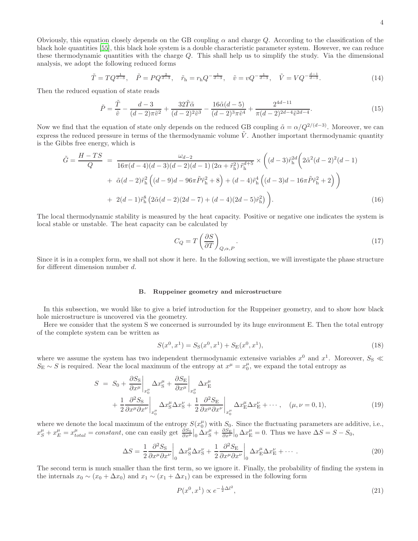Obviously, this equation closely depends on the GB coupling  $\alpha$  and charge Q. According to the classification of the black hole quantities [\[55\]](#page-17-3), this black hole system is a double characteristic parameter system. However, we can reduce these thermodynamic quantities with the charge Q. This shall help us to simplify the study. Via the dimensional analysis, we adopt the following reduced forms

$$
\tilde{T} = TQ^{\frac{1}{d-3}}, \quad \tilde{P} = PQ^{\frac{2}{d-3}}, \quad \tilde{r}_{\rm h} = r_{\rm h}Q^{-\frac{1}{d-3}}, \quad \tilde{v} = vQ^{-\frac{1}{d-3}}, \quad \tilde{V} = VQ^{-\frac{d-1}{d-3}}.
$$
\n(14)

Then the reduced equation of state reads

$$
\tilde{P} = \frac{\tilde{T}}{\tilde{v}} - \frac{d-3}{(d-2)\pi\tilde{v}^2} + \frac{32\tilde{T}\tilde{\alpha}}{(d-2)^2\tilde{v}^3} - \frac{16\tilde{\alpha}(d-5)}{(d-2)^3\pi\tilde{v}^4} + \frac{2^{4d-11}}{\pi(d-2)^{2d-4}\tilde{v}^{2d-4}}.
$$
\n(15)

Now we find that the equation of state only depends on the reduced GB coupling  $\tilde{\alpha} = \alpha/Q^{2/(d-3)}$ . Moreover, we can express the reduced pressure in terms of the thermodynamic volume  $\tilde{V}$ . Another important thermodynamic quantity is the Gibbs free energy, which is

$$
\tilde{G} = \frac{H - TS}{Q} = \frac{\omega_{d-2}}{16\pi(d-4)(d-3)(d-2)(d-1)(2\alpha + \tilde{r}_h^2)\tilde{r}_h^{d+5}} \times \left( (d-3)\tilde{r}_h^{2d} \left( 2\tilde{\alpha}^2(d-2)^2(d-1) + \tilde{\alpha}(d-2)\tilde{r}_h^2 \left( (d-9)d - 96\pi \tilde{P}\tilde{r}_h^2 + 8 \right) + (d-4)\tilde{r}_h^4 \left( (d-3)d - 16\pi \tilde{P}\tilde{r}_h^2 + 2 \right) \right) + 2(d-1)\tilde{r}_h^8 \left( 2\tilde{\alpha}(d-2)(2d-7) + (d-4)(2d-5)\tilde{r}_h^2 \right) \right).
$$
\n(16)

The local thermodynamic stability is measured by the heat capacity. Positive or negative one indicates the system is local stable or unstable. The heat capacity can be calculated by

$$
C_Q = T \left(\frac{\partial S}{\partial T}\right)_{Q,\alpha,P}.\tag{17}
$$

Since it is in a complex form, we shall not show it here. In the following section, we will investigate the phase structure for different dimension number d.

#### B. Ruppeiner geometry and microstructure

In this subsection, we would like to give a brief introduction for the Ruppeiner geometry, and to show how black hole microstructure is uncovered via the geometry.

Here we consider that the system S we concerned is surrounded by its huge environment E. Then the total entropy of the complete system can be written as

$$
S(x^{0}, x^{1}) = S_{S}(x^{0}, x^{1}) + S_{E}(x^{0}, x^{1}),
$$
\n(18)

where we assume the system has two independent thermodynamic extensive variables  $x^0$  and  $x^1$ . Moreover,  $S_S \ll x^0$  $S_{\rm E} \sim S$  is required. Near the local maximum of the entropy at  $x^{\mu} = x_0^{\mu}$ , we expand the total entropy as

$$
S = S_0 + \frac{\partial S_S}{\partial x^{\mu}} \bigg|_{x_0^{\mu}} \Delta x_S^{\mu} + \frac{\partial S_E}{\partial x^{\mu}} \bigg|_{x_0^{\mu}} \Delta x_E^{\mu} + \frac{1}{2} \frac{\partial^2 S_S}{\partial x^{\mu} \partial x^{\nu}} \bigg|_{x_0^{\mu}} \Delta x_S^{\mu} \Delta x_S^{\nu} + \frac{1}{2} \frac{\partial^2 S_E}{\partial x^{\mu} \partial x^{\nu}} \bigg|_{x_0^{\mu}} \Delta x_E^{\mu} \Delta x_E^{\nu} + \cdots, \quad (\mu, \nu = 0, 1),
$$
\n(19)

where we denote the local maximum of the entropy  $S(x_0^{\mu})$  with  $S_0$ . Since the fluctuating parameters are additive, i.e.,  $x_S^{\mu} + x_E^{\mu} = x_{total}^{\mu} = constant$ , one can easily get  $\frac{\partial S_S}{\partial x^{\mu}}\Big|_0 \Delta x_S^{\mu} + \frac{\partial S_E}{\partial x^{\mu}}\Big|_0 \Delta x_E^{\mu} = 0$ . Thus we have  $\Delta S = S - S_0$ ,

$$
\Delta S = \frac{1}{2} \frac{\partial^2 S_S}{\partial x^\mu \partial x^\nu} \bigg|_0 \Delta x_S^\mu \Delta x_S^\nu + \frac{1}{2} \frac{\partial^2 S_E}{\partial x^\mu \partial x^\nu} \bigg|_0 \Delta x_E^\mu \Delta x_E^\nu + \cdots \tag{20}
$$

The second term is much smaller than the first term, so we ignore it. Finally, the probability of finding the system in the internals  $x_0 \sim (x_0 + \Delta x_0)$  and  $x_1 \sim (x_1 + \Delta x_1)$  can be expressed in the following form

$$
P(x^0, x^1) \propto e^{-\frac{1}{2}\Delta l^2},\tag{21}
$$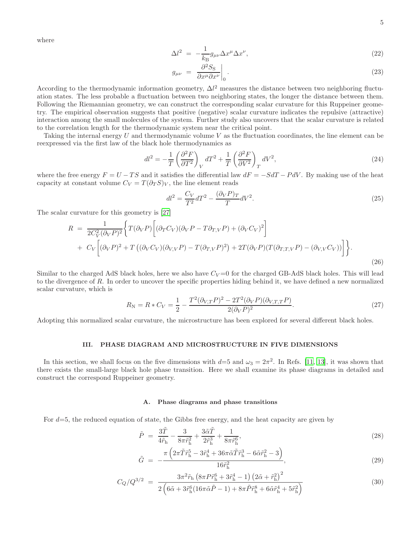where

$$
\Delta l^2 = -\frac{1}{k_B} g_{\mu\nu} \Delta x^{\mu} \Delta x^{\nu},\tag{22}
$$

$$
g_{\mu\nu} = \left. \frac{\partial^2 S_S}{\partial x^{\mu} \partial x^{\nu}} \right|_0.
$$
 (23)

According to the thermodynamic information geometry,  $\Delta l^2$  measures the distance between two neighboring fluctuation states. The less probable a fluctuation between two neighboring states, the longer the distance between them. Following the Riemannian geometry, we can construct the corresponding scalar curvature for this Ruppeiner geometry. The empirical observation suggests that positive (negative) scalar curvature indicates the repulsive (attractive) interaction among the small molecules of the system. Further study also uncovers that the scalar curvature is related to the correlation length for the thermodynamic system near the critical point.

Taking the internal energy U and thermodynamic volume V as the fluctuation coordinates, the line element can be reexpressed via the first law of the black hole thermodynamics as

$$
dl^2 = -\frac{1}{T} \left( \frac{\partial^2 F}{\partial T^2} \right)_V dT^2 + \frac{1}{T} \left( \frac{\partial^2 F}{\partial V^2} \right)_T dV^2,
$$
\n(24)

where the free energy  $F = U - TS$  and it satisfies the differential law  $dF = -SdT - PdV$ . By making use of the heat capacity at constant volume  $C_V = T(\partial_T S)_V$ , the line element reads

$$
dl^2 = \frac{C_V}{T^2}dT^2 - \frac{(\partial_V P)_T}{T}dV^2.
$$
\n
$$
(25)
$$

The scalar curvature for this geometry is [\[27](#page-16-1)]

$$
R = \frac{1}{2C_V^2(\partial_V P)^2} \Biggl\{ T(\partial_V P) \Biggl[ (\partial_T C_V)(\partial_V P - T \partial_{T,V} P) + (\partial_V C_V)^2 \Biggr] + C_V \Biggl[ (\partial_V P)^2 + T \bigl( (\partial_V C_V)(\partial_{V,V} P) - T(\partial_{T,V} P)^2 \bigr) + 2T(\partial_V P)(T(\partial_{T,T,V} P) - (\partial_{V,V} C_V)) \Biggr] \Biggr\}.
$$
\n(26)

Similar to the charged AdS black holes, here we also have  $C_V = 0$  for the charged GB-AdS black holes. This will lead to the divergence of R. In order to uncover the specific properties hiding behind it, we have defined a new normalized scalar curvature, which is

<span id="page-4-2"></span>
$$
R_{\rm N} = R * C_V = \frac{1}{2} - \frac{T^2 (\partial_{V,T} P)^2 - 2T^2 (\partial_V P)(\partial_{V,T,T} P)}{2(\partial_V P)^2}.
$$
\n(27)

Adopting this normalized scalar curvature, the microstructure has been explored for several different black holes.

### <span id="page-4-0"></span>III. PHASE DIAGRAM AND MICROSTRUCTURE IN FIVE DIMENSIONS

In this section, we shall focus on the five dimensions with  $d=5$  and  $\omega_3=2\pi^2$ . In Refs. [\[11](#page-15-12), [13](#page-15-13)], it was shown that there exists the small-large black hole phase transition. Here we shall examine its phase diagrams in detailed and construct the correspond Ruppeiner geometry.

## A. Phase diagrams and phase transitions

For  $d=5$ , the reduced equation of state, the Gibbs free energy, and the heat capacity are given by

<span id="page-4-1"></span>
$$
\tilde{P} = \frac{3\tilde{T}}{4\tilde{r}_{\rm h}} - \frac{3}{8\pi\tilde{r}_{\rm h}^2} + \frac{3\tilde{\alpha}\tilde{T}}{2\tilde{r}_{\rm h}^3} + \frac{1}{8\pi\tilde{r}_{\rm h}^6},\tag{28}
$$

$$
\tilde{G} = -\frac{\pi \left(2\pi \tilde{T}\tilde{r}_{\rm h}^5 - 3\tilde{r}_{\rm h}^4 + 36\pi \tilde{\alpha}\tilde{T}\tilde{r}_{\rm h}^3 - 6\tilde{\alpha}\tilde{r}_{\rm h}^2 - 3\right)}{16\tilde{r}_{\rm h}^2},\tag{29}
$$

$$
C_{Q}/Q^{3/2} = \frac{3\pi^2 \tilde{r}_{h} \left(8\pi P \tilde{r}_{h}^{6} + 3\tilde{r}_{h}^{4} - 1\right) \left(2\tilde{\alpha} + \tilde{r}_{h}^{2}\right)^{2}}{2\left(6\tilde{\alpha} + 3\tilde{r}_{h}^{6} (16\pi \tilde{\alpha} \tilde{P} - 1) + 8\pi \tilde{P} \tilde{r}_{h}^{8} + 6\tilde{\alpha} \tilde{r}_{h}^{4} + 5\tilde{r}_{h}^{2}\right)}
$$
(30)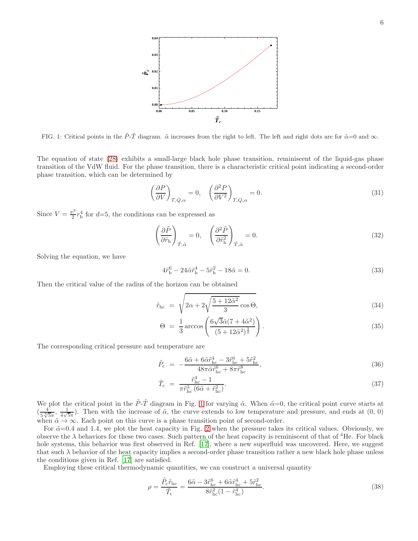

<span id="page-5-0"></span>FIG. 1: Critical points in the  $\tilde{P}\text{-}\tilde{T}$  diagram.  $\tilde{\alpha}$  increases from the right to left. The left and right dots are for  $\tilde{\alpha}=0$  and  $\infty$ .

The equation of state [\(28\)](#page-4-1) exhibits a small-large black hole phase transition, reminiscent of the liquid-gas phase transition of the VdW fluid. For the phase transition, there is a characteristic critical point indicating a second-order phase transition, which can be determined by

$$
\left(\frac{\partial P}{\partial V}\right)_{T,Q,\alpha} = 0, \quad \left(\frac{\partial^2 P}{\partial V^2}\right)_{T,Q,\alpha} = 0.
$$
\n(31)

Since  $V = \frac{\pi^2}{2}$  $\frac{\tau^2}{2}r_h^4$  for  $d=5$ , the conditions can be expressed as

$$
\left(\frac{\partial \tilde{P}}{\partial \tilde{r}_{\rm h}}\right)_{\tilde{T}, \tilde{\alpha}} = 0, \quad \left(\frac{\partial^2 \tilde{P}}{\partial \tilde{r}_{\rm h}^2}\right)_{\tilde{T}, \tilde{\alpha}} = 0. \tag{32}
$$

Solving the equation, we have

$$
4\tilde{r}_{\rm h}^6 - 24\tilde{\alpha}\tilde{r}_{\rm h}^4 - 5\tilde{r}_{\rm h}^2 - 18\tilde{\alpha} = 0. \tag{33}
$$

Then the critical value of the radius of the horizon can be obtained

$$
\tilde{r}_{\rm hc} = \sqrt{2\alpha + 2\sqrt{\frac{5 + 12\tilde{\alpha}^2}{3}}\cos\Theta},\tag{34}
$$

$$
\Theta = \frac{1}{3} \arccos\left(\frac{6\sqrt{3}\tilde{\alpha}(7 + 4\tilde{\alpha}^2)}{(5 + 12\tilde{\alpha}^2)^{\frac{3}{2}}}\right). \tag{35}
$$

The corresponding critical pressure and temperature are

$$
\tilde{P}_{\rm c} = -\frac{6\tilde{\alpha} + 6\tilde{\alpha}\tilde{r}_{\rm hc}^4 - 3\tilde{r}_{\rm hc}^6 + 5\tilde{r}_{\rm hc}^2}{48\pi\tilde{\alpha}\tilde{r}_{\rm hc}^6 + 8\pi\tilde{r}_{\rm hc}^8},\tag{36}
$$

$$
\tilde{T}_{\rm c} = \frac{\tilde{r}_{\rm hc}^4 - 1}{\pi \tilde{r}_{\rm hc}^3 (6\tilde{\alpha} + \tilde{r}_{\rm hc}^2)}.
$$
\n(37)

We plot the critical point in the  $\tilde{P}\text{-}\tilde{T}$  diagram in Fig. [1](#page-5-0) for varying  $\tilde{\alpha}$ . When  $\tilde{\alpha}=0$ , the critical point curve starts at  $\left(\frac{4}{5.4}\right)$  $\frac{4}{5\sqrt[4]{5\pi}}, \frac{1}{4\sqrt{5}}$  $\frac{1}{4\sqrt{5}\pi}$ ). Then with the increase of  $\tilde{\alpha}$ , the curve extends to low temperature and pressure, and ends at  $(0, 0)$ when  $\tilde{\alpha} \to \infty$ . Each point on this curve is a phase transition point of second-order.

For  $\tilde{\alpha}=0.4$  and 1.4, we plot the heat capacity in Fig. [2](#page-6-0) when the pressure takes its critical values. Obviously, we observe the  $\lambda$  behaviors for these two cases. Such pattern of the heat capacity is reminiscent of that of <sup>4</sup>He. For black hole systems, this behavior was first observed in Ref. [\[17\]](#page-15-14), where a new superfluid was uncovered. Here, we suggest that such  $\lambda$  behavior of the heat capacity implies a second-order phase transition rather a new black hole phase unless the conditions given in Ref. [\[17](#page-15-14)] are satisfied.

Employing these critical thermodynamic quantities, we can construct a universal quantity

$$
\rho = \frac{\tilde{P}_{\rm c}\tilde{r}_{\rm hc}}{\tilde{T}_{\rm c}} = \frac{6\tilde{\alpha} - 3\tilde{r}_{\rm hc}^6 + 6\tilde{\alpha}\tilde{r}_{\rm hc}^4 + 5\tilde{r}_{\rm hc}^2}{8\tilde{r}_{\rm hc}^2(1 - \tilde{r}_{\rm hc}^4)}.
$$
\n(38)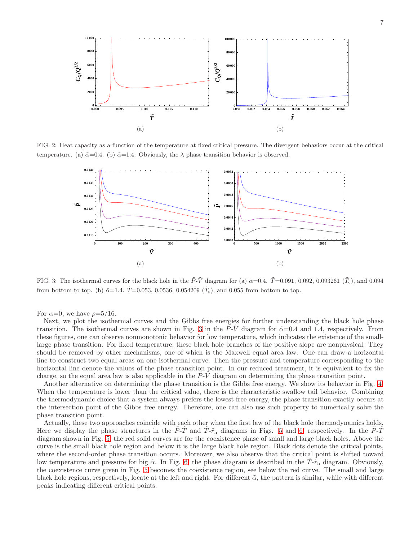

FIG. 2: Heat capacity as a function of the temperature at fixed critical pressure. The divergent behaviors occur at the critical temperature. (a)  $\tilde{\alpha}=0.4$ . (b)  $\tilde{\alpha}=1.4$ . Obviously, the  $\lambda$  phase transition behavior is observed.

<span id="page-6-0"></span>

<span id="page-6-1"></span>FIG. 3: The isothermal curves for the black hole in the  $\tilde{P}\text{-}\tilde{V}$  diagram for (a)  $\tilde{\alpha}=0.4$ .  $\tilde{T}=0.091$ , 0.092, 0.093261 ( $\tilde{T}_{c}$ ), and 0.094 from bottom to top. (b)  $\tilde{\alpha}=1.4$ .  $\tilde{T}=0.053$ , 0.0536, 0.054209 ( $\tilde{T}_{c}$ ), and 0.055 from bottom to top.

For  $\alpha=0$ , we have  $\rho=5/16$ .

Next, we plot the isothermal curves and the Gibbs free energies for further understanding the black hole phase transition. The isothermal curves are shown in Fig. [3](#page-6-1) in the P-V diagram for  $\tilde{\alpha}=0.4$  and 1.4, respectively. From these figures, one can observe nonmonotonic behavior for low temperature, which indicates the existence of the smalllarge phase transition. For fixed temperature, these black hole branches of the positive slope are nonphysical. They should be removed by other mechanisms, one of which is the Maxwell equal area law. One can draw a horizontal line to construct two equal areas on one isothermal curve. Then the pressure and temperature corresponding to the horizontal line denote the values of the phase transition point. In our reduced treatment, it is equivalent to fix the charge, so the equal area law is also applicable in the  $\tilde{P}\tilde{V}$  diagram on determining the phase transition point.

Another alternative on determining the phase transition is the Gibbs free energy. We show its behavior in Fig. [4.](#page-7-0) When the temperature is lower than the critical value, there is the characteristic swallow tail behavior. Combining the thermodynamic choice that a system always prefers the lowest free energy, the phase transition exactly occurs at the intersection point of the Gibbs free energy. Therefore, one can also use such property to numerically solve the phase transition point.

Actually, these two approaches coincide with each other when the first law of the black hole thermodynamics holds. Here we display the phase structures in the  $\vec{P}\cdot\vec{T}$  and  $\vec{T}\cdot\vec{r}$ <sub>h</sub> diagrams in Figs. [5](#page-7-1) and [6,](#page-7-2) respectively. In the  $\vec{P}\cdot\vec{T}$ diagram shown in Fig. [5,](#page-7-1) the red solid curves are for the coexistence phase of small and large black holes. Above the curve is the small black hole region and below it is the large black hole region. Black dots denote the critical points, where the second-order phase transition occurs. Moreover, we also observe that the critical point is shifted toward low temperature and pressure for big  $\tilde{\alpha}$ . In Fig. [6,](#page-7-2) the phase diagram is described in the  $\tilde{T}$ - $\tilde{r}_h$  diagram. Obviously, the coexistence curve given in Fig. [5](#page-7-1) becomes the coexistence region, see below the red curve. The small and large black hole regions, respectively, locate at the left and right. For different  $\tilde{\alpha}$ , the pattern is similar, while with different peaks indicating different critical points.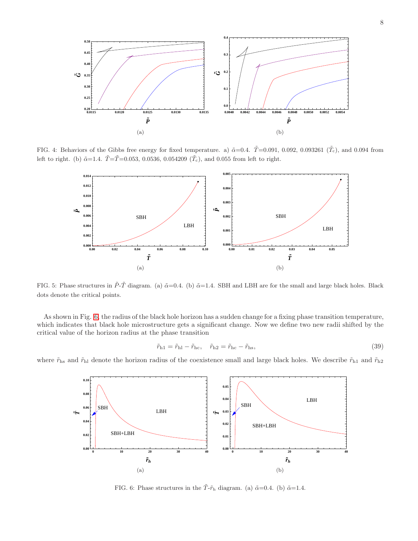

FIG. 4: Behaviors of the Gibbs free energy for fixed temperature. a)  $\tilde{\alpha}=0.4$ .  $\tilde{T}=0.091$ , 0.092, 0.093261 ( $\tilde{T}_{c}$ ), and 0.094 from left to right. (b)  $\tilde{\alpha}$ =1.4.  $\tilde{T}$ = $\tilde{T}$ =0.053, 0.0536, 0.054209 ( $\tilde{T}_{c}$ ), and 0.055 from left to right.

<span id="page-7-0"></span>

<span id="page-7-1"></span>FIG. 5: Phase structures in  $\tilde{P}\text{-}\tilde{T}$  diagram. (a)  $\tilde{\alpha}=0.4$ . (b)  $\tilde{\alpha}=1.4$ . SBH and LBH are for the small and large black holes. Black dots denote the critical points.

As shown in Fig. [6,](#page-7-2) the radius of the black hole horizon has a sudden change for a fixing phase transition temperature, which indicates that black hole microstructure gets a significant change. Now we define two new radii shifted by the critical value of the horizon radius at the phase transition

$$
\tilde{r}_{\rm h1} = \tilde{r}_{\rm hl} - \tilde{r}_{\rm hc}, \quad \tilde{r}_{\rm h2} = \tilde{r}_{\rm hc} - \tilde{r}_{\rm hs}, \tag{39}
$$

where  $\tilde{r}_{\rm hs}$  and  $\tilde{r}_{\rm hl}$  denote the horizon radius of the coexistence small and large black holes. We describe  $\tilde{r}_{\rm h1}$  and  $\tilde{r}_{\rm h2}$ 



<span id="page-7-2"></span>FIG. 6: Phase structures in the  $\tilde{T}$ - $\tilde{r}_{h}$  diagram. (a)  $\tilde{\alpha}$ =0.4. (b)  $\tilde{\alpha}$ =1.4.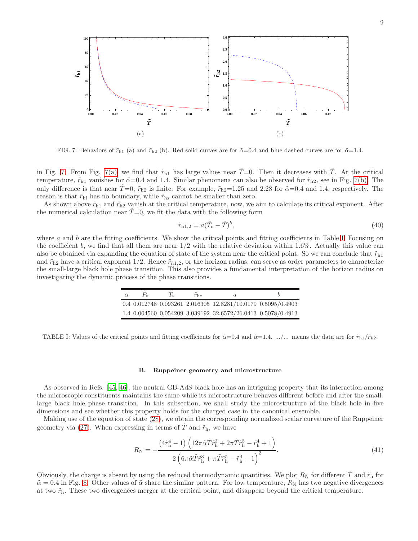<span id="page-8-1"></span>

<span id="page-8-0"></span>FIG. 7: Behaviors of  $\tilde{r}_{h1}$  (a) and  $\tilde{r}_{h2}$  (b). Red solid curves are for  $\tilde{\alpha}=0.4$  and blue dashed curves are for  $\tilde{\alpha}=1.4$ .

in Fig. [7.](#page-8-0) From Fig. [7\(a\),](#page-8-1) we find that  $\tilde{r}_{h1}$  has large values near  $\tilde{T}=0$ . Then it decreases with  $\tilde{T}$ . At the critical temperature,  $\tilde{r}_{h1}$  vanishes for  $\tilde{\alpha}=0.4$  and 1.4. Similar phenomena can also be observed for  $\tilde{r}_{h2}$ , see in Fig. [7\(b\).](#page-8-2) The only difference is that near  $\tilde{T}=0$ ,  $\tilde{r}_{h2}$  is finite. For example,  $\tilde{r}_{h2}=1.25$  and 2.28 for  $\tilde{\alpha}=0.4$  and 1.4, respectively. The reason is that  $\tilde r_{\rm hl}$  has no boundary, while  $\tilde r_{\rm hs}$  cannot be smaller than zero.

As shown above  $\tilde{r}_{h1}$  and  $\tilde{r}_{h2}$  vanish at the critical temperature, now, we aim to calculate its critical exponent. After the numerical calculation near  $\dot{T}=0$ , we fit the data with the following form

<span id="page-8-5"></span><span id="page-8-2"></span>
$$
\tilde{r}_{h1,2} = a(\tilde{T}_c - \tilde{T})^b,\tag{40}
$$

where a and b are the fitting coefficients. We show the critical points and fitting coefficients in Table [I.](#page-8-3) Focusing on the coefficient b, we find that all them are near  $1/2$  with the relative deviation within 1.6%. Actually this value can also be obtained via expanding the equation of state of the system near the critical point. So we can conclude that  $\tilde{r}_{h1}$ and  $\tilde{r}_{h2}$  have a critical exponent 1/2. Hence  $\tilde{r}_{h1,2}$ , or the horizon radius, can serve as order parameters to characterize the small-large black hole phase transition. This also provides a fundamental interpretation of the horizon radius on investigating the dynamic process of the phase transitions.

| $\alpha$ | $\sim$ | $r_{\rm hc}$ | a.                                                                       |  |
|----------|--------|--------------|--------------------------------------------------------------------------|--|
|          |        |              | $0.4$ $0.012748$ $0.093261$ $2.016305$ $12.8281/10.0179$ $0.5095/0.4903$ |  |
|          |        |              | 1.4 0.004560 0.054209 3.039192 32.6572/26.0413 0.5078/0.4913             |  |

<span id="page-8-3"></span>TABLE I: Values of the critical points and fitting coefficients for  $\tilde{\alpha}=0.4$  and  $\tilde{\alpha}=1.4$ . .../... means the data are for  $\tilde{r}_{h1}/\tilde{r}_{h2}$ .

#### B. Ruppeiner geometry and microstructure

As observed in Refs. [\[45](#page-16-7), [46](#page-16-5)], the neutral GB-AdS black hole has an intriguing property that its interaction among the microscopic constituents maintains the same while its microstructure behaves different before and after the smalllarge black hole phase transition. In this subsection, we shall study the microstructure of the black hole in five dimensions and see whether this property holds for the charged case in the canonical ensemble.

Making use of the equation of state [\(28\)](#page-4-1), we obtain the corresponding normalized scalar curvature of the Ruppeiner geometry via [\(27\)](#page-4-2). When expressing in terms of  $\tilde{T}$  and  $\tilde{r}_{h}$ , we have

<span id="page-8-4"></span>
$$
R_{\rm N} = -\frac{\left(4\tilde{r}_{\rm h}^4 - 1\right)\left(12\pi\tilde{\alpha}\tilde{T}\tilde{r}_{\rm h}^3 + 2\pi\tilde{T}\tilde{r}_{\rm h}^5 - \tilde{r}_{\rm h}^4 + 1\right)}{2\left(6\pi\tilde{\alpha}\tilde{T}\tilde{r}_{\rm h}^3 + \pi\tilde{T}\tilde{r}_{\rm h}^5 - \tilde{r}_{\rm h}^4 + 1\right)^2}.
$$
\n(41)

Obviously, the charge is absent by using the reduced thermodynamic quantities. We plot  $R_N$  for different T and  $\tilde{r}_h$  for  $\tilde{\alpha} = 0.4$  in Fig. [8.](#page-9-0) Other values of  $\tilde{\alpha}$  share the similar pattern. For low temperature,  $R_N$  has two negative divergences at two  $\tilde{r}_{h}$ . These two divergences merger at the critical point, and disappear beyond the critical temperature.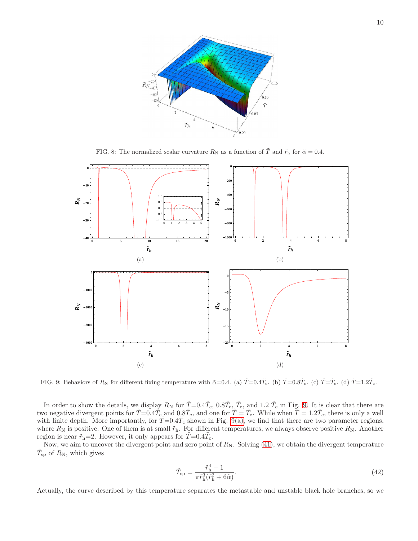

<span id="page-9-0"></span>FIG. 8: The normalized scalar curvature  $R_N$  as a function of  $\tilde{T}$  and  $\tilde{r}_h$  for  $\tilde{\alpha} = 0.4$ .

<span id="page-9-2"></span>

<span id="page-9-1"></span>FIG. 9: Behaviors of  $R_N$  for different fixing temperature with  $\tilde{\alpha}=0.4$ . (a)  $\tilde{T}=0.4\tilde{T_c}$ . (b)  $\tilde{T}=0.8\tilde{T_c}$ . (c)  $\tilde{T}=\tilde{T_c}$ . (d)  $\tilde{T}=1.2\tilde{T_c}$ .

In order to show the details, we display  $R_N$  for  $\tilde{T} = 0.4\tilde{T_c}$ ,  $0.8\tilde{T_c}$ ,  $\tilde{T_c}$ , and 1.2  $\tilde{T_c}$  in Fig. [9.](#page-9-1) It is clear that there are two negative divergent points for  $\tilde{T}=0.4\tilde{T_c}$  and  $0.8\tilde{T_c}$ , and one for  $\tilde{T}=\tilde{T_c}$ . While when  $\tilde{T}=1.2\tilde{T_c}$ , there is only a well with finite depth. More importantly, for  $\tilde{T}=0.4\tilde{T}_{\rm c}$  shown in Fig. [9\(a\),](#page-9-2) we find that there are two parameter regions, where  $R_N$  is positive. One of them is at small  $\tilde{r}_h$ . For different temperatures, we always observe positive  $R_N$ . Another region is near  $\tilde{r}_{h}$ =2. However, it only appears for  $\tilde{T}=0.4\tilde{T}_{c}$ .

Now, we aim to uncover the divergent point and zero point of  $R_N$ . Solving [\(41\)](#page-8-4), we obtain the divergent temperature  $\tilde{T}_{\text{sp}}$  of  $R_{\text{N}}$ , which gives

$$
\tilde{T}_{\rm sp} = \frac{\tilde{r}_{\rm h}^4 - 1}{\pi \tilde{r}_{\rm h}^3 (\tilde{r}_{\rm h}^2 + 6\tilde{\alpha})}.
$$
\n(42)

Actually, the curve described by this temperature separates the metastable and unstable black hole branches, so we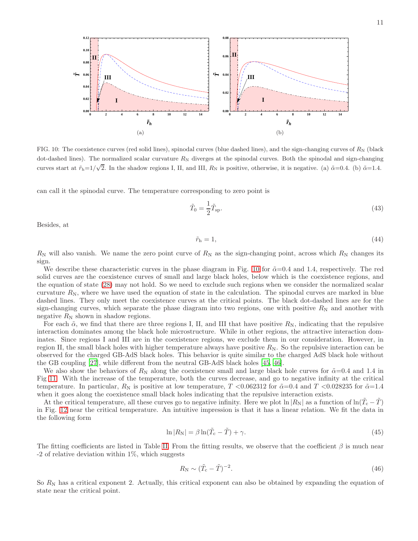

<span id="page-10-0"></span>FIG. 10: The coexistence curves (red solid lines), spinodal curves (blue dashed lines), and the sign-changing curves of  $R_N$  (black dot-dashed lines). The normalized scalar curvature  $R_N$  diverges at the spinodal curves. Both the spinodal and sign-changing curves start at  $\tilde{r}_{h}=1/\sqrt{2}$ . In the shadow regions I, II, and III,  $R_{N}$  is positive, otherwise, it is negative. (a)  $\tilde{\alpha}=0.4$ . (b)  $\tilde{\alpha}=1.4$ .

can call it the spinodal curve. The temperature corresponding to zero point is

$$
\tilde{T}_0 = \frac{1}{2}\tilde{T}_{\rm sp}.\tag{43}
$$

Besides, at

$$
\tilde{r}_{\rm h} = 1,\tag{44}
$$

 $R_N$  will also vanish. We name the zero point curve of  $R_N$  as the sign-changing point, across which  $R_N$  changes its sign.

We describe these characteristic curves in the phase diagram in Fig. [10](#page-10-0) for  $\tilde{\alpha}=0.4$  and 1.4, respectively. The red solid curves are the coexistence curves of small and large black holes, below which is the coexistence regions, and the equation of state [\(28\)](#page-4-1) may not hold. So we need to exclude such regions when we consider the normalized scalar curvature  $R_N$ , where we have used the equation of state in the calculation. The spinodal curves are marked in blue dashed lines. They only meet the coexistence curves at the critical points. The black dot-dashed lines are for the sign-changing curves, which separate the phase diagram into two regions, one with positive  $R_N$  and another with negative  $R_N$  shown in shadow regions.

For each  $\tilde{\alpha}$ , we find that there are three regions I, II, and III that have positive  $R_N$ , indicating that the repulsive interaction dominates among the black hole microstructure. While in other regions, the attractive interaction dominates. Since regions I and III are in the coexistence regions, we exclude them in our consideration. However, in region II, the small black holes with higher temperature always have positive  $R_N$ . So the repulsive interaction can be observed for the charged GB-AdS black holes. This behavior is quite similar to the charged AdS black hole without the GB coupling [\[27\]](#page-16-1), while different from the neutral GB-AdS black holes [\[45,](#page-16-7) [46\]](#page-16-5).

We also show the behaviors of  $R_N$  along the coexistence small and large black hole curves for  $\tilde{\alpha}=0.4$  and 1.4 in Fig [11.](#page-11-1) With the increase of the temperature, both the curves decrease, and go to negative infinity at the critical temperature. In particular,  $R_N$  is positive at low temperature, T <0.062312 for  $\tilde{\alpha}=0.4$  and T <0.028235 for  $\tilde{\alpha}=1.4$ when it goes along the coexistence small black holes indicating that the repulsive interaction exists.

At the critical temperature, all these curves go to negative infinity. Here we plot  $\ln |R_N|$  as a function of  $\ln(\tilde{T}_c - \tilde{T})$ in Fig. [12](#page-11-2) near the critical temperature. An intuitive impression is that it has a linear relation. We fit the data in the following form

<span id="page-10-1"></span>
$$
\ln|R_N| = \beta \ln(\tilde{T}_c - \tilde{T}) + \gamma. \tag{45}
$$

The fitting coefficients are listed in Table [II.](#page-12-0) From the fitting results, we observe that the coefficient  $\beta$  is much near  $-2$  of relative deviation within 1%, which suggests

$$
R_N \sim (\tilde{T}_c - \tilde{T})^{-2}.
$$
\n(46)

So  $R_N$  has a critical exponent 2. Actually, this critical exponent can also be obtained by expanding the equation of state near the critical point.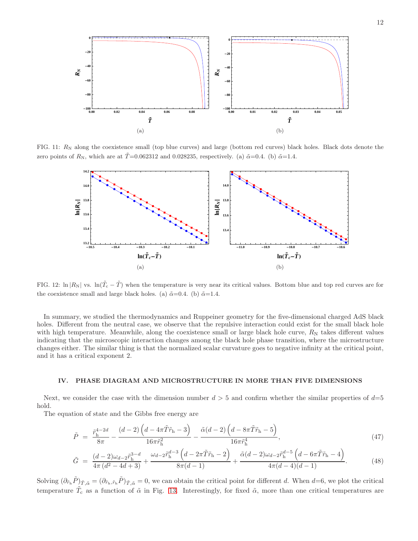

FIG. 11:  $R_N$  along the coexistence small (top blue curves) and large (bottom red curves) black holes. Black dots denote the zero points of  $R_N$ , which are at  $\tilde{T}=0.062312$  and 0.028235, respectively. (a)  $\tilde{\alpha}=0.4$ . (b)  $\tilde{\alpha}=1.4$ .

<span id="page-11-1"></span>

<span id="page-11-2"></span>FIG. 12:  $\ln |R_N|$  vs.  $\ln(\tilde{T}_c - \tilde{T})$  when the temperature is very near its critical values. Bottom blue and top red curves are for the coexistence small and large black holes. (a)  $\tilde{\alpha}$ =0.4. (b)  $\tilde{\alpha}$ =1.4.

In summary, we studied the thermodynamics and Ruppeiner geometry for the five-dimensional charged AdS black holes. Different from the neutral case, we observe that the repulsive interaction could exist for the small black hole with high temperature. Meanwhile, along the coexistence small or large black hole curve,  $R_N$  takes different values indicating that the microscopic interaction changes among the black hole phase transition, where the microstructure changes either. The similar thing is that the normalized scalar curvature goes to negative infinity at the critical point, and it has a critical exponent 2.

### <span id="page-11-0"></span>IV. PHASE DIAGRAM AND MICROSTRUCTURE IN MORE THAN FIVE DIMENSIONS

Next, we consider the case with the dimension number  $d > 5$  and confirm whether the similar properties of  $d=5$ hold.

The equation of state and the Gibbs free energy are

$$
\tilde{P} = \frac{\tilde{r}_{\rm h}^{4-2d}}{8\pi} - \frac{(d-2)\left(d - 4\pi\tilde{T}\tilde{r}_{\rm h} - 3\right)}{16\pi\tilde{r}_{\rm h}^2} - \frac{\tilde{\alpha}(d-2)\left(d - 8\pi\tilde{T}\tilde{r}_{\rm h} - 5\right)}{16\pi\tilde{r}_{\rm h}^4},\tag{47}
$$

$$
\tilde{G} = \frac{(d-2)\omega_{d-2}\tilde{r}_{\rm h}^{3-d}}{4\pi (d^2 - 4d + 3)} + \frac{\omega_{d-2}\tilde{r}_{\rm h}^{d-3}\left(d - 2\pi\tilde{T}\tilde{r}_{\rm h} - 2\right)}{8\pi (d-1)} + \frac{\tilde{\alpha}(d-2)\omega_{d-2}\tilde{r}_{\rm h}^{d-5}\left(d - 6\pi\tilde{T}\tilde{r}_{\rm h} - 4\right)}{4\pi (d-4)(d-1)}.
$$
\n(48)

Solving  $(\partial_{\tilde{r}_{h}}\tilde{P})_{\tilde{T},\tilde{\alpha}} = (\partial_{\tilde{r}_{h},\tilde{r}_{h}}\tilde{P})_{\tilde{T},\tilde{\alpha}} = 0$ , we can obtain the critical point for different d. When d=6, we plot the critical temperature  $\tilde{T}_{c}$  as a function of  $\tilde{\alpha}$  in Fig. [13.](#page-12-1) Interestingly, for fixed  $\tilde{\alpha}$ , more than one critical temperatures are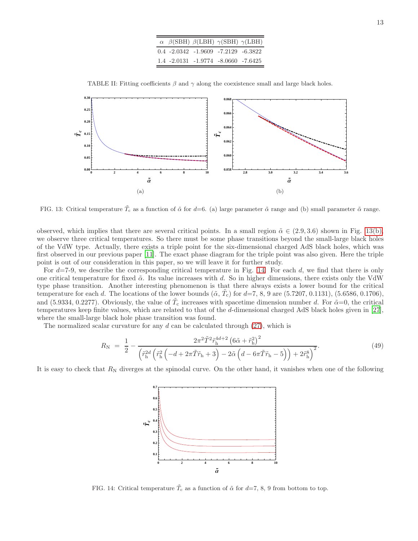<span id="page-12-2"></span>

|  | $\alpha$ $\beta$ (SBH) $\beta$ (LBH) $\gamma$ (SBH) $\gamma$ (LBH) |  |
|--|--------------------------------------------------------------------|--|
|  | $0.4 -2.0342 -1.9609 -7.2129 -6.3822$                              |  |
|  | $1.4 - 2.0131 - 1.9774 - 8.0660 - 7.6425$                          |  |

<span id="page-12-0"></span>TABLE II: Fitting coefficients  $\beta$  and  $\gamma$  along the coexistence small and large black holes.



<span id="page-12-1"></span>FIG. 13: Critical temperature  $\tilde{T}_c$  as a function of  $\tilde{\alpha}$  for d=6. (a) large parameter  $\tilde{\alpha}$  range and (b) small parameter  $\tilde{\alpha}$  range.

observed, which implies that there are several critical points. In a small region  $\tilde{\alpha} \in (2.9, 3.6)$  shown in Fig. [13\(b\),](#page-12-2) we observe three critical temperatures. So there must be some phase transitions beyond the small-large black holes of the VdW type. Actually, there exists a triple point for the six-dimensional charged AdS black holes, which was first observed in our previous paper [\[11\]](#page-15-12). The exact phase diagram for the triple point was also given. Here the triple point is out of our consideration in this paper, so we will leave it for further study.

For  $d=7-9$ , we describe the corresponding critical temperature in Fig. [14.](#page-12-3) For each d, we find that there is only one critical temperature for fixed  $\tilde{\alpha}$ . Its value increases with d. So in higher dimensions, there exists only the VdW type phase transition. Another interesting phenomenon is that there always exists a lower bound for the critical temperature for each d. The locations of the lower bounds  $(\tilde{\alpha}, \tilde{T}_{c})$  for  $d=7, 8, 9$  are  $(5.7207, 0.1131), (5.6586, 0.1706),$ and (5.9334, 0.2277). Obviously, the value of  $\tilde{T}_{c}$  increases with spacetime dimension number d. For  $\tilde{\alpha}=0$ , the critical temperatures keep finite values, which are related to that of the d-dimensional charged AdS black holes given in [\[27\]](#page-16-1), where the small-large black hole phase transition was found.

The normalized scalar curvature for any  $d$  can be calculated through [\(27\)](#page-4-2), which is

$$
R_{\rm N} = \frac{1}{2} - \frac{2\pi^2 \tilde{T}^2 \tilde{r}_{\rm h}^{4d+2} \left(6\tilde{\alpha} + \tilde{r}_{\rm h}^2\right)^2}{\left(\tilde{r}_{\rm h}^{2d} \left(\tilde{r}_{\rm h}^2 \left(-d + 2\pi \tilde{T}\tilde{r}_{\rm h} + 3\right) - 2\tilde{\alpha} \left(d - 6\pi \tilde{T}\tilde{r}_{\rm h} - 5\right)\right) + 2\tilde{r}_{\rm h}^8\right)^2}.
$$
(49)

It is easy to check that  $R_N$  diverges at the spinodal curve. On the other hand, it vanishes when one of the following



<span id="page-12-3"></span>FIG. 14: Critical temperature  $\tilde{T}_{c}$  as a function of  $\tilde{\alpha}$  for  $d=7, 8, 9$  from bottom to top.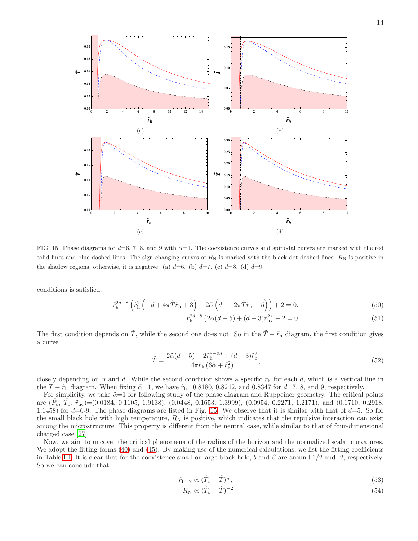

<span id="page-13-0"></span>FIG. 15: Phase diagrams for  $d=6, 7, 8,$  and 9 with  $\tilde{\alpha}=1$ . The coexistence curves and spinodal curves are marked with the red solid lines and blue dashed lines. The sign-changing curves of  $R_N$  is marked with the black dot dashed lines.  $R_N$  is positive in the shadow regions, otherwise, it is negative. (a)  $d=6$ . (b)  $d=7$ . (c)  $d=8$ . (d)  $d=9$ .

conditions is satisfied.

$$
\tilde{r}_{\rm h}^{2d-8} \left( \tilde{r}_{\rm h}^2 \left( -d + 4\pi \tilde{T} \tilde{r}_{\rm h} + 3 \right) - 2\tilde{\alpha} \left( d - 12\pi \tilde{T} \tilde{r}_{\rm h} - 5 \right) \right) + 2 = 0, \tag{50}
$$

$$
\tilde{r}_{\rm h}^{2d-8} \left( 2\tilde{\alpha}(d-5) + (d-3)\tilde{r}_{\rm h}^2 \right) - 2 = 0. \tag{51}
$$

The first condition depends on  $\tilde{T}$ , while the second one does not. So in the  $\tilde{T} - \tilde{r}_h$  diagram, the first condition gives a curve

$$
\tilde{T} = \frac{2\tilde{\alpha}(d-5) - 2\tilde{r}_{\rm h}^{8-2d} + (d-3)\tilde{r}_{\rm h}^2}{4\pi\tilde{r}_{\rm h}(6\tilde{\alpha} + \tilde{r}_{\rm h}^2)},
$$
\n(52)

closely depending on  $\tilde{\alpha}$  and d. While the second condition shows a specific  $\tilde{r}_h$  for each d, which is a vertical line in the  $\tilde{T} - \tilde{r}_h$  diagram. When fixing  $\tilde{\alpha} = 1$ , we have  $\tilde{r}_h = 0.8180, 0.8242,$  and  $0.8347$  for  $d = 7, 8$ , and 9, respectively.

For simplicity, we take  $\tilde{\alpha}=1$  for following study of the phase diagram and Ruppeiner geometry. The critical points are  $(\tilde{P_c}, \tilde{T_c}, \tilde{r}_{hc}) = (0.0184, 0.1105, 1.9138), (0.0448, 0.1653, 1.3999), (0.0954, 0.2271, 1.2171),$  and  $(0.1710, 0.2918,$ 1.1458) for  $d=6-9$ . The phase diagrams are listed in Fig. [15.](#page-13-0) We observe that it is similar with that of  $d=5$ . So for the small black hole with high temperature,  $R_N$  is positive, which indicates that the repulsive interaction can exist among the microstructure. This property is different from the neutral case, while similar to that of four-dimensional charged case [\[27\]](#page-16-1).

Now, we aim to uncover the critical phenomena of the radius of the horizon and the normalized scalar curvatures. We adopt the fitting forms [\(40\)](#page-8-5) and [\(45\)](#page-10-1). By making use of the numerical calculations, we list the fitting coefficients in Table [III.](#page-14-0) It is clear that for the coexistence small or large black hole, b and  $\beta$  are around 1/2 and -2, respectively. So we can conclude that

$$
\tilde{r}_{h1,2} \propto (\tilde{T}_c - \tilde{T})^{\frac{1}{2}},\tag{53}
$$

$$
R_{\rm N} \propto (\tilde{T}_{\rm c} - \tilde{T})^{-2} \tag{54}
$$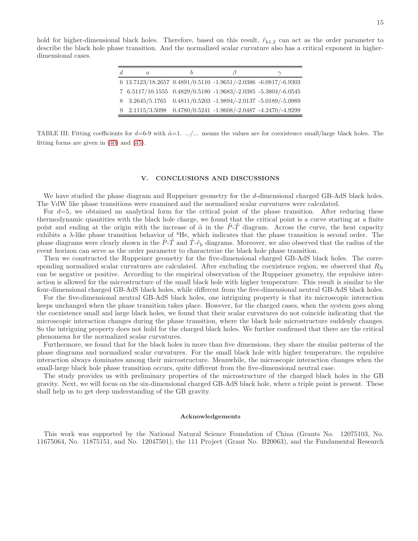hold for higher-dimensional black holes. Therefore, based on this result,  $\tilde{r}_{h1,2}$  can act as the order parameter to describe the black hole phase transition. And the normalized scalar curvature also has a critical exponent in higherdimensional cases.

| $\alpha$                                                        |  |  |
|-----------------------------------------------------------------|--|--|
| 6 13.7123/18.2657 0.4891/0.5110 -1.9651/-2.0386 -6.0817/-6.9303 |  |  |
| 7 6.5117/10.1555 0.4829/0.5180 -1.9683/-2.0385 -5.3804/-6.0545  |  |  |
| 8 3.2645/5.1765 0.4811/0.5203 -1.9894/-2.0137 -5.0189/-5.0989   |  |  |
| 9 2.1115/3.5098 0.4780/0.5241 -1.9608/-2.0487 -4.2470/-4.9299   |  |  |

<span id="page-14-0"></span>TABLE III: Fitting coefficients for  $d=6-9$  with  $\tilde{\alpha}=1$ . .../... means the values are for coexistence small/large black holes. The fitting forms are given in [\(40\)](#page-8-5) and [\(45\)](#page-10-1).

## V. CONCLUSIONS AND DISCUSSIONS

We have studied the phase diagram and Ruppeiner geometry for the d-dimensional charged GB-AdS black holes. The VdW like phase transitions were examined and the normalized scalar curvatures were calculated.

For  $d=5$ , we obtained an analytical form for the critical point of the phase transition. After reducing these thermodynamic quantities with the black hole charge, we found that the critical point is a curve starting at a finite point and ending at the origin with the increase of  $\tilde{\alpha}$  in the P-T diagram. Across the curve, the heat capacity exhibits a  $\lambda$ -like phase transition behavior of <sup>4</sup>He, which indicates that the phase transition is second order. The phase diagrams were clearly shown in the  $\tilde{P}\text{-}\tilde{T}$  and  $\tilde{T}\text{-}\tilde{r}_h$  diagrams. Moreover, we also observed that the radius of the event horizon can serve as the order parameter to characterize the black hole phase transition.

Then we constructed the Ruppeiner geometry for the five-dimensional charged GB-AdS black holes. The corresponding normalized scalar curvatures are calculated. After excluding the coexistence region, we observed that  $R_N$ can be negative or positive. According to the empirical observation of the Ruppeiner geometry, the repulsive interaction is allowed for the microstructure of the small black hole with higher temperature. This result is similar to the four-dimensional charged GB-AdS black holes, while different from the five-dimensional neutral GB-AdS black holes.

For the five-dimensional neutral GB-AdS black holes, one intriguing property is that its microscopic interaction keeps unchanged when the phase transition takes place. However, for the charged cases, when the system goes along the coexistence small and large black holes, we found that their scalar curvatures do not coincide indicating that the microscopic interaction changes during the phase transition, where the black hole microstructure suddenly changes. So the intriguing property does not hold for the charged black holes. We further confirmed that there are the critical phenomena for the normalized scalar curvatures.

Furthermore, we found that for the black holes in more than five dimensions, they share the similar patterns of the phase diagrams and normalized scalar curvatures. For the small black hole with higher temperature, the repulsive interaction always dominates among their microstructure. Meanwhile, the microscopic interaction changes when the small-large black hole phase transition occurs, quite different from the five-dimensional neutral case.

The study provides us with preliminary properties of the microstructure of the charged black holes in the GB gravity. Next, we will focus on the six-dimensional charged GB-AdS black hole, where a triple point is present. These shall help us to get deep understanding of the GB gravity.

#### Acknowledgements

This work was supported by the National Natural Science Foundation of China (Grants No. 12075103, No. 11675064, No. 11875151, and No. 12047501), the 111 Project (Grant No. B20063), and the Fundamental Research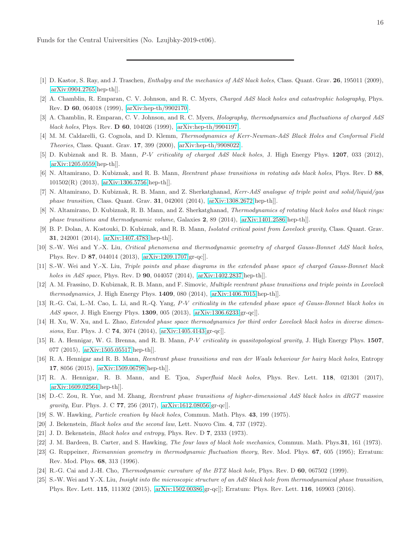Funds for the Central Universities (No. Lzujbky-2019-ct06).

- <span id="page-15-0"></span>[1] D. Kastor, S. Ray, and J. Traschen, Enthalpy and the mechanics of AdS black holes, Class. Quant. Grav. 26, 195011 (2009), [\[arXiv:0904.2765\[](http://arxiv.org/abs/0904.2765)hep-th]].
- <span id="page-15-1"></span>[2] A. Chamblin, R. Emparan, C. V. Johnson, and R. C. Myers, Charged AdS black holes and catastrophic holography, Phys. Rev. D 60, 064018 (1999), [\[arXiv:hep-th/9902170\]](http://arxiv.org/abs/hep-th/9902170).
- [3] A. Chamblin, R. Emparan, C. V. Johnson, and R. C. Myers, Holography, thermodynamics and fluctuations of charged AdS black holes, Phys. Rev. D 60, 104026 (1999), [\[arXiv:hep-th/9904197\]](http://arxiv.org/abs/hep-th/9904197).
- <span id="page-15-2"></span>[4] M. M. Caldarelli, G. Cognola, and D. Klemm, Thermodynamics of Kerr-Newman-AdS Black Holes and Conformal Field Theories, Class. Quant. Grav. 17, 399 (2000), [\[arXiv:hep-th/9908022\]](http://arxiv.org/abs/hep-th/9908022).
- <span id="page-15-3"></span>[5] D. Kubiznak and R. B. Mann, P-V criticality of charged AdS black holes, J. High Energy Phys. 1207, 033 (2012), [\[arXiv:1205.0559\[](http://arxiv.org/abs/1205.0559)hep-th]].
- [6] N. Altamirano, D. Kubiznak, and R. B. Mann, Reentrant phase transitions in rotating ads black holes, Phys. Rev. D 88, 101502(R) (2013), [\[arXiv:1306.5756\[](http://arxiv.org/abs/1306.5756)hep-th]].
- [7] N. Altamirano, D. Kubiznak, R. B. Mann, and Z. Sherkatghanad, Kerr-AdS analogue of triple point and solid/liquid/gas phase transition, Class. Quant. Grav. 31, 042001 (2014), [\[arXiv:1308.2672\[](http://arxiv.org/abs/1308.2672)hep-th]].
- [8] N. Altamirano, D. Kubiznak, R. B. Mann, and Z. Sherkatghanad, Thermodynamics of rotating black holes and black rings: phase transitions and thermodynamic volume, Galaxies 2, 89 (2014), [\[arXiv:1401.2586\[](http://arxiv.org/abs/1401.2586)hep-th]].
- [9] B. P. Dolan, A. Kostouki, D. Kubiznak, and R. B. Mann, Isolated critical point from Lovelock gravity, Class. Quant. Grav. 31, 242001 (2014), [\[arXiv:1407.4783\[](http://arxiv.org/abs/1407.4783)hep-th]].
- <span id="page-15-11"></span>[10] S.-W. Wei and Y.-X. Liu, Critical phenomena and thermodynamic geometry of charged Gauss-Bonnet AdS black holes, Phys. Rev. D 87, 044014 (2013), [\[arXiv:1209.1707\[](http://arxiv.org/abs/1209.1707)gr-qc]].
- <span id="page-15-12"></span>[11] S.-W. Wei and Y.-X. Liu, Triple points and phase diagrams in the extended phase space of charged Gauss-Bonnet black holes in AdS space, Phys. Rev. D **90**, 044057 (2014), [\[arXiv:1402.2837\[](http://arxiv.org/abs/1402.2837)hep-th]].
- [12] A. M. Frassino, D. Kubiznak, R. B. Mann, and F. Simovic, Multiple reentrant phase transitions and triple points in Lovelock thermodynamics, J. High Energy Phys. 1409, 080 (2014), [\[arXiv:1406.7015\[](http://arxiv.org/abs/1406.7015)hep-th]].
- <span id="page-15-13"></span>[13] R.-G. Cai, L.-M. Cao, L. Li, and R.-Q. Yang, P-V criticality in the extended phase space of Gauss-Bonnet black holes in AdS space, J. High Energy Phys. 1309, 005 (2013), [\[arXiv:1306.6233\[](http://arxiv.org/abs/1306.6233)gr-qc]].
- [14] H. Xu, W. Xu, and L. Zhao, Extended phase space thermodynamics for third order Lovelock black holes in diverse dimensions, Eur. Phys. J. C 74, 3074 (2014), [\[arXiv:1405.4143\[](http://arxiv.org/abs/1405.4143)gr-qc]].
- [15] R. A. Hennigar, W. G. Brenna, and R. B. Mann, P-V criticality in quasitopological gravity, J. High Energy Phys. 1507, 077 (2015), [\[arXiv:1505.05517\[](http://arxiv.org/abs/1505.05517)hep-th]].
- [16] R. A. Hennigar and R. B. Mann, Reentrant phase transitions and van der Waals behaviour for hairy black holes, Entropy 17, 8056 (2015), [\[arXiv:1509.06798\[](http://arxiv.org/abs/1509.06798)hep-th]].
- <span id="page-15-14"></span>[17] R. A. Hennigar, R. B. Mann, and E. Tjoa, Superfluid black holes, Phys. Rev. Lett. 118, 021301 (2017), [\[arXiv:1609.02564\[](http://arxiv.org/abs/1609.02564)hep-th]].
- <span id="page-15-4"></span>[18] D.-C. Zou, R. Yue, and M. Zhang, Reentrant phase transitions of higher-dimensional AdS black holes in dRGT massive gravity, Eur. Phys. J. C 77, 256 (2017), [\[arXiv:1612.08056\[](http://arxiv.org/abs/1612.08056)gr-qc]].
- <span id="page-15-5"></span>[19] S. W. Hawking, Particle creation by black holes, Commun. Math. Phys. 43, 199 (1975).
- [20] J. Bekenstein, Black holes and the second law, Lett. Nuovo Cim. 4, 737 (1972).
- <span id="page-15-6"></span>[21] J. D. Bekenstein, Black holes and entropy, Phys. Rev. D 7, 2333 (1973).
- <span id="page-15-7"></span>[22] J. M. Bardeen, B. Carter, and S. Hawking, The four laws of black hole mechanics, Commun. Math. Phys.31, 161 (1973).
- <span id="page-15-8"></span>[23] G. Ruppeiner, Riemannian geometry in thermodynamic fluctuation theory, Rev. Mod. Phys. 67, 605 (1995); Erratum: Rev. Mod. Phys. 68, 313 (1996).
- <span id="page-15-9"></span>[24] R.-G. Cai and J.-H. Cho, Thermodynamic curvature of the BTZ black hole, Phys. Rev. D 60, 067502 (1999).
- <span id="page-15-10"></span>[25] S.-W. Wei and Y.-X. Liu, Insight into the microscopic structure of an AdS black hole from thermodynamical phase transition, Phys. Rev. Lett. 115, 111302 (2015), [\[arXiv:1502.00386\[](http://arxiv.org/abs/1502.00386)gr-qc]]; Erratum: Phys. Rev. Lett. 116, 169903 (2016).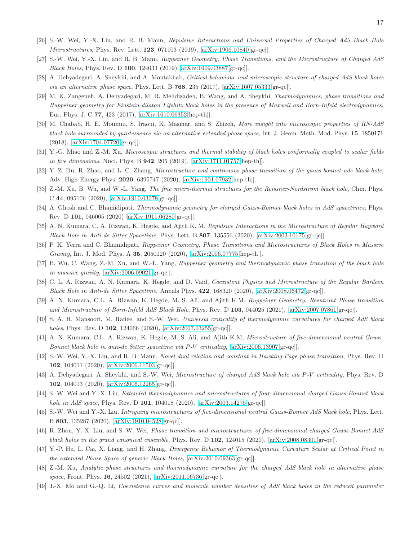- <span id="page-16-0"></span>[26] S.-W. Wei, Y.-X. Liu, and R. B. Mann, Repulsive Interactions and Universal Properties of Charged AdS Black Hole Microstructures, Phys. Rev. Lett. 123, 071103 (2019), [\[arXiv:1906.10840\[](http://arxiv.org/abs/1906.10840)gr-qc]].
- <span id="page-16-1"></span>[27] S.-W. Wei, Y.-X. Liu, and R. B. Mann, Ruppeiner Geometry, Phase Transitions, and the Microstructure of Charged AdS Black Holes, Phys. Rev. D 100, 124033 (2019) [\[arXiv:1909.03887\[](http://arxiv.org/abs/1909.03887)gr-qc]].
- <span id="page-16-2"></span>[28] A. Dehyadegari, A. Sheykhi, and A. Montakhab, Critical behaviour and microscopic structure of charged AdS black holes *via an alternative phase space*, Phys. Lett. B  $768$ , 235 (2017), [\[arXiv:1607.05333\[](http://arxiv.org/abs/1607.05333)gr-qc]].
- [29] M. K. Zangeneh, A. Dehyadegari, M. R. Mehdizadeh, B. Wang, and A. Sheykhi, Thermodynamics, phase transitions and Ruppeiner geometry for Einstein-dilaton Lifshitz black holes in the presence of Maxwell and Born-Infeld electrodynamics, Eur. Phys. J. C 77, 423 (2017), [\[arXiv:1610.06352\[](http://arxiv.org/abs/1610.06352)hep-th]].
- [30] M. Chabab, H. E. Moumni, S. Iraoui, K. Masmar, and S. Zhizeh, More insight into microscopic properties of RN-AdS black hole surrounded by quintessence via an alternative extended phase space, Int. J. Geom. Meth. Mod. Phys. 15, 1850171 (2018), [\[arXiv:1704.07720\[](http://arxiv.org/abs/1704.07720)gr-qc]].
- [31] Y.-G. Miao and Z.-M. Xu, Microscopic structures and thermal stability of black holes conformally coupled to scalar fields in five dimensions, Nucl. Phys. B 942, 205 (2019), [\[arXiv:1711.01757\[](http://arxiv.org/abs/1711.01757)hep-th]].
- [32] Y.-Z. Du, R. Zhao, and L.-C. Zhang, Microstructure and continuous phase transition of the gauss-bonnet ads black hole, Adv. High Energy Phys. 2020, 6395747 (2020), [\[arXiv:1901.07932\[](http://arxiv.org/abs/1901.07932)hep-th]].
- [33] Z.-M. Xu, B. Wu, and W.-L. Yang, The fine micro-thermal structures for the Reissner-Nordstrom black hole, Chin. Phys. C 44, 095106 (2020), [\[arXiv:1910.03378\[](http://arxiv.org/abs/1910.03378)gr-qc]].
- [34] A. Ghosh and C. Bhamidipati, *Thermodynamic geometry for charged Gauss-Bonnet black holes in AdS spacetimes*, Phys. Rev. D 101, 046005 (2020) [\[arXiv:1911.06280\[](http://arxiv.org/abs/1911.06280)gr-qc]].
- [35] A. N. Kumara, C. A. Rizwan, K. Hegde, and Ajith K. M, Repulsive Interactions in the Microstructure of Regular Hayward Black Hole in Anti-de Sitter Spacetime, Phys. Lett. B  $807$ , 135556 (2020), [\[arXiv:2003.10175\[](http://arxiv.org/abs/2003.10175)gr-qc]].
- [36] P. K. Yerra and C. Bhamidipati, Ruppeiner Geometry, Phase Transitions and Microstructures of Black Holes in Massive Gravity, Int. J. Mod. Phys. A 35, 2050120 (2020), [\[arXiv:2006.07775\[](http://arxiv.org/abs/2006.07775)hep-th]].
- [37] B. Wu, C. Wang, Z.-M. Xu, and W.-L. Yang, Ruppeiner geometry and thermodynamic phase transition of the black hole in massive gravity, [\[arXiv:2006.09021\[](http://arxiv.org/abs/2006.09021)gr-qc]].
- [38] C. L. A. Rizwan, A. N. Kumara, K. Hegde, and D. Vaid, Coexistent Physics and Microstructure of the Regular Bardeen Black Hole in Anti-de Sitter Spacetime, Annals Phys. 422, 168320 (2020), [\[arXiv:2008.06472\[](http://arxiv.org/abs/2008.06472)gr-qc]].
- [39] A. N. Kumara, C.L. A. Rizwan, K. Hegde, M. S. Ali, and Ajith K.M, Ruppeiner Geometry, Reentrant Phase transition and Microstructure of Born-Infeld AdS Black Hole, Phys. Rev. D 103, 044025 (2021), [\[arXiv:2007.07861\[](http://arxiv.org/abs/2007.07861)gr-qc]].
- [40] S. A. H. Mansoori, M. Rafiee, and S.-W. Wei, Universal criticality of thermodynamic curvatures for charged AdS black holes, Phys. Rev. D **102**, 124066 (2020), [\[arXiv:2007.03255\[](http://arxiv.org/abs/2007.03255)gr-qc]].
- [41] A. N. Kumara, C.L. A. Rizwan, K. Hegde, M. S. Ali, and Ajith K.M, Microstructure of five-dimensional neutral Gauss-Bonnet black hole in anti-de Sitter spacetime via P-V criticality, [\[arXiv:2006.13907\[](http://arxiv.org/abs/2006.13907)gr-qc]].
- [42] S.-W. Wei, Y.-X. Liu, and R. B. Mann, Novel dual relation and constant in Hawking-Page phase transition, Phys. Rev. D 102, 104011 (2020), [\[arXiv:2006.11503\[](http://arxiv.org/abs/2006.11503)gr-qc]].
- [43] A. Dehyadegari, A. Sheykhi, and S.-W. Wei, Microstructure of charged AdS black hole via P-V criticality, Phys. Rev. D 102, 104013 (2020), [\[arXiv:2006.12265\[](http://arxiv.org/abs/2006.12265)gr-qc]].
- <span id="page-16-6"></span>[44] S.-W. Wei and Y.-X. Liu, Extended thermodynamics and microstructures of four-dimensional charged Gauss-Bonnet black hole in AdS space, Phys. Rev. D 101, 104018 (2020), [\[arXiv:2003.14275\[](http://arxiv.org/abs/2003.14275)gr-qc]].
- <span id="page-16-7"></span>[45] S.-W. Wei and Y.-X. Liu, Intriguing microstructures of five-dimensional neutral Gauss-Bonnet AdS black hole, Phys. Lett. B 803, 135287 (2020), [\[arXiv:1910.04528\[](http://arxiv.org/abs/1910.04528)gr-qc]].
- <span id="page-16-5"></span>[46] R. Zhou, Y.-X. Liu, and S.-W. Wei, Phase transition and microstructures of five-dimensional charged Gauss-Bonnet-AdS black holes in the grand canonical ensemble, Phys. Rev. D  $102$ ,  $124015$  (2020), [\[arXiv:2008.08301\[](http://arxiv.org/abs/2008.08301)gr-qc]].
- [47] Y.-P. Hu, L. Cai, X. Liang, and H. Zhang, Divergence Behavior of Thermodynamic Curvature Scalar at Critical Point in the extended Phase Space of generic Black Holes, [\[arXiv:2010.09363\[](http://arxiv.org/abs/2010.09363)gr-qc]].
- <span id="page-16-3"></span>[48] Z.-M. Xu, Analytic phase structures and thermodynamic curvature for the charged AdS black hole in alternative phase space, Front. Phys. 16, 24502 (2021), [\[arXiv:2011.06736\[](http://arxiv.org/abs/2011.06736)gr-qc]].
- <span id="page-16-4"></span>[49] J.-X. Mo and G.-Q. Li, Coexistence curves and molecule number densities of AdS black holes in the reduced parameter